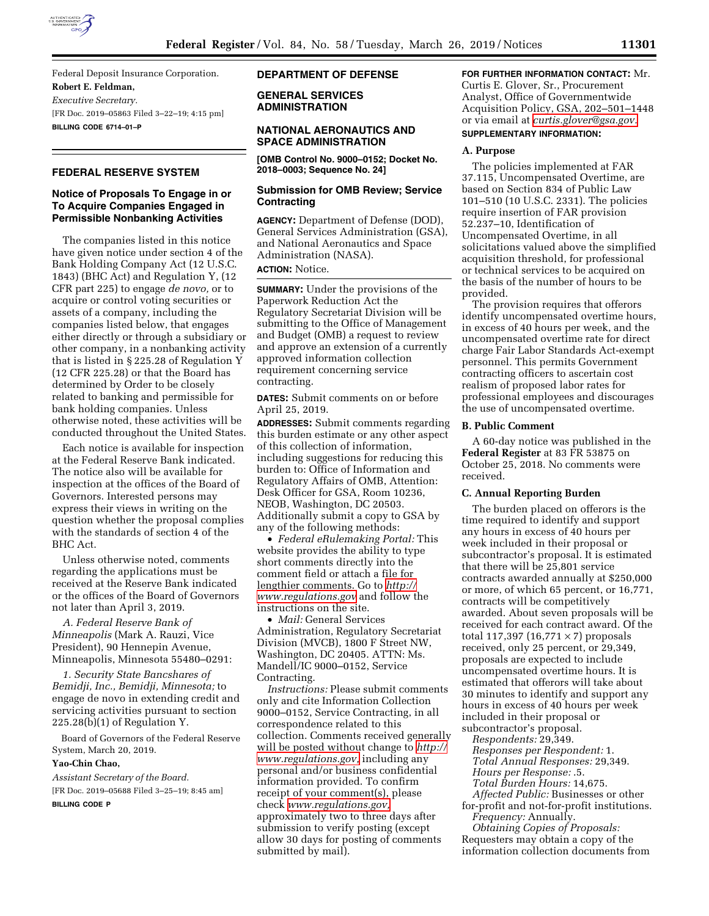

Federal Deposit Insurance Corporation. **Robert E. Feldman,**  *Executive Secretary.*  [FR Doc. 2019–05863 Filed 3–22–19; 4:15 pm] **BILLING CODE 6714–01–P** 

# **FEDERAL RESERVE SYSTEM**

# **Notice of Proposals To Engage in or To Acquire Companies Engaged in Permissible Nonbanking Activities**

The companies listed in this notice have given notice under section 4 of the Bank Holding Company Act (12 U.S.C. 1843) (BHC Act) and Regulation Y, (12 CFR part 225) to engage *de novo,* or to acquire or control voting securities or assets of a company, including the companies listed below, that engages either directly or through a subsidiary or other company, in a nonbanking activity that is listed in § 225.28 of Regulation Y (12 CFR 225.28) or that the Board has determined by Order to be closely related to banking and permissible for bank holding companies. Unless otherwise noted, these activities will be conducted throughout the United States.

Each notice is available for inspection at the Federal Reserve Bank indicated. The notice also will be available for inspection at the offices of the Board of Governors. Interested persons may express their views in writing on the question whether the proposal complies with the standards of section 4 of the BHC Act.

Unless otherwise noted, comments regarding the applications must be received at the Reserve Bank indicated or the offices of the Board of Governors not later than April 3, 2019.

*A. Federal Reserve Bank of Minneapolis* (Mark A. Rauzi, Vice President), 90 Hennepin Avenue, Minneapolis, Minnesota 55480–0291:

*1. Security State Bancshares of Bemidji, Inc., Bemidji, Minnesota;* to engage de novo in extending credit and servicing activities pursuant to section 225.28(b)(1) of Regulation Y.

Board of Governors of the Federal Reserve System, March 20, 2019.

# **Yao-Chin Chao,**

*Assistant Secretary of the Board.*  [FR Doc. 2019–05688 Filed 3–25–19; 8:45 am] **BILLING CODE P** 

#### **DEPARTMENT OF DEFENSE**

**GENERAL SERVICES ADMINISTRATION** 

#### **NATIONAL AERONAUTICS AND SPACE ADMINISTRATION**

**[OMB Control No. 9000–0152; Docket No. 2018–0003; Sequence No. 24]** 

## **Submission for OMB Review; Service Contracting**

**AGENCY:** Department of Defense (DOD), General Services Administration (GSA), and National Aeronautics and Space Administration (NASA). **ACTION:** Notice.

**SUMMARY:** Under the provisions of the

Paperwork Reduction Act the Regulatory Secretariat Division will be submitting to the Office of Management and Budget (OMB) a request to review and approve an extension of a currently approved information collection requirement concerning service contracting.

**DATES:** Submit comments on or before April 25, 2019.

**ADDRESSES:** Submit comments regarding this burden estimate or any other aspect of this collection of information, including suggestions for reducing this burden to: Office of Information and Regulatory Affairs of OMB, Attention: Desk Officer for GSA, Room 10236, NEOB, Washington, DC 20503. Additionally submit a copy to GSA by any of the following methods:

• *Federal eRulemaking Portal:* This website provides the ability to type short comments directly into the comment field or attach a file for lengthier comments. Go to *[http://](http://www.regulations.gov) [www.regulations.gov](http://www.regulations.gov)* and follow the instructions on the site.

• *Mail:* General Services Administration, Regulatory Secretariat Division (MVCB), 1800 F Street NW, Washington, DC 20405. ATTN: Ms. Mandell/IC 9000–0152, Service Contracting.

*Instructions:* Please submit comments only and cite Information Collection 9000–0152, Service Contracting, in all correspondence related to this collection. Comments received generally will be posted without change to *[http://](http://www.regulations.gov) [www.regulations.gov,](http://www.regulations.gov)* including any personal and/or business confidential information provided. To confirm receipt of your comment(s), please check *[www.regulations.gov,](http://www.regulations.gov)*  approximately two to three days after submission to verify posting (except allow 30 days for posting of comments submitted by mail).

## **FOR FURTHER INFORMATION CONTACT:** Mr. Curtis E. Glover, Sr., Procurement Analyst, Office of Governmentwide Acquisition Policy, GSA, 202–501–1448 or via email at *[curtis.glover@gsa.gov.](mailto:curtis.glover@gsa.gov)*

## **SUPPLEMENTARY INFORMATION:**

#### **A. Purpose**

The policies implemented at FAR 37.115, Uncompensated Overtime, are based on Section 834 of Public Law 101–510 (10 U.S.C. 2331). The policies require insertion of FAR provision 52.237–10, Identification of Uncompensated Overtime, in all solicitations valued above the simplified acquisition threshold, for professional or technical services to be acquired on the basis of the number of hours to be provided.

The provision requires that offerors identify uncompensated overtime hours, in excess of 40 hours per week, and the uncompensated overtime rate for direct charge Fair Labor Standards Act-exempt personnel. This permits Government contracting officers to ascertain cost realism of proposed labor rates for professional employees and discourages the use of uncompensated overtime.

#### **B. Public Comment**

A 60-day notice was published in the **Federal Register** at 83 FR 53875 on October 25, 2018. No comments were received.

## **C. Annual Reporting Burden**

The burden placed on offerors is the time required to identify and support any hours in excess of 40 hours per week included in their proposal or subcontractor's proposal. It is estimated that there will be 25,801 service contracts awarded annually at \$250,000 or more, of which 65 percent, or 16,771, contracts will be competitively awarded. About seven proposals will be received for each contract award. Of the total 117,397  $(16,771 \times 7)$  proposals received, only 25 percent, or 29,349, proposals are expected to include uncompensated overtime hours. It is estimated that offerors will take about 30 minutes to identify and support any hours in excess of 40 hours per week included in their proposal or subcontractor's proposal.

*Respondents:* 29,349. *Responses per Respondent:* 1. *Total Annual Responses:* 29,349. *Hours per Response:* .5. *Total Burden Hours:* 14,675. *Affected Public:* Businesses or other for-profit and not-for-profit institutions.

*Frequency:* Annually. *Obtaining Copies of Proposals:* 

Requesters may obtain a copy of the information collection documents from